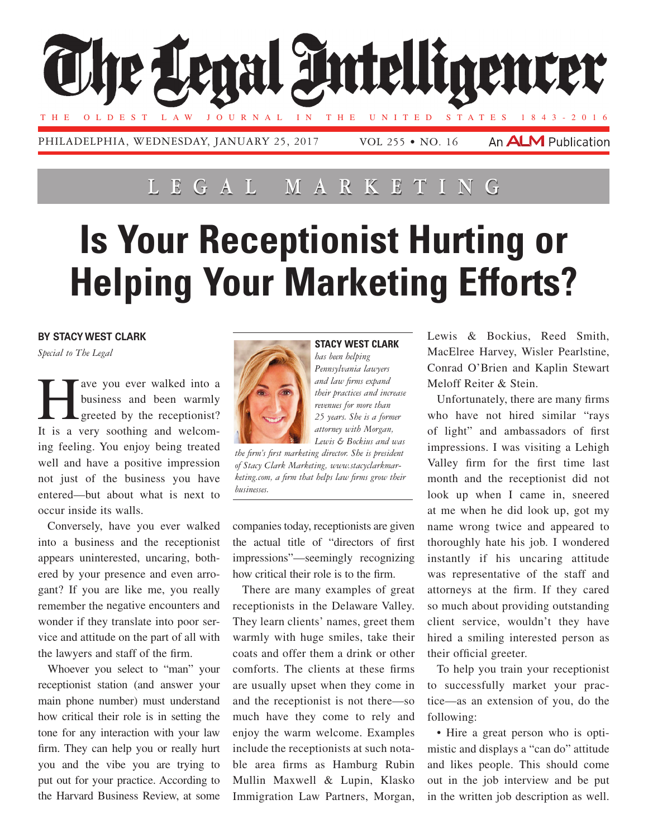

## **Lega l Marketing**

## **Is Your Receptionist Hurting or Helping Your Marketing Efforts?**

## **By Stacy west clark**

*Special to The Legal*

ave you ever walked into a business and been warmly  $\Box$  greeted by the receptionist? It is a very soothing and welcoming feeling. You enjoy being treated well and have a positive impression not just of the business you have entered—but about what is next to occur inside its walls.

Conversely, have you ever walked into a business and the receptionist appears uninterested, uncaring, bothered by your presence and even arrogant? If you are like me, you really remember the negative encounters and wonder if they translate into poor service and attitude on the part of all with the lawyers and staff of the firm.

Whoever you select to "man" your receptionist station (and answer your main phone number) must understand how critical their role is in setting the tone for any interaction with your law firm. They can help you or really hurt you and the vibe you are trying to put out for your practice. According to the Harvard Business Review, at some



*has been helping Pennsylvania lawyers and law firms expand their practices and increase revenues for more than 25 years. She is a former attorney with Morgan, Lewis & Bockius and was* 

*the firm's first marketing director. She is president of Stacy Clark Marketing, www.stacyclarkmarketing.com, a firm that helps law firms grow their businesses.*

companies today, receptionists are given the actual title of "directors of first impressions"—seemingly recognizing how critical their role is to the firm.

There are many examples of great receptionists in the Delaware Valley. They learn clients' names, greet them warmly with huge smiles, take their coats and offer them a drink or other comforts. The clients at these firms are usually upset when they come in and the receptionist is not there—so much have they come to rely and enjoy the warm welcome. Examples include the receptionists at such notable area firms as Hamburg Rubin Mullin Maxwell & Lupin, Klasko Immigration Law Partners, Morgan, Lewis & Bockius, Reed Smith, MacElree Harvey, Wisler Pearlstine, Conrad O'Brien and Kaplin Stewart Meloff Reiter & Stein.

Unfortunately, there are many firms who have not hired similar "rays of light" and ambassadors of first impressions. I was visiting a Lehigh Valley firm for the first time last month and the receptionist did not look up when I came in, sneered at me when he did look up, got my name wrong twice and appeared to thoroughly hate his job. I wondered instantly if his uncaring attitude was representative of the staff and attorneys at the firm. If they cared so much about providing outstanding client service, wouldn't they have hired a smiling interested person as their official greeter.

To help you train your receptionist to successfully market your practice—as an extension of you, do the following:

• Hire a great person who is optimistic and displays a "can do" attitude and likes people. This should come out in the job interview and be put in the written job description as well.